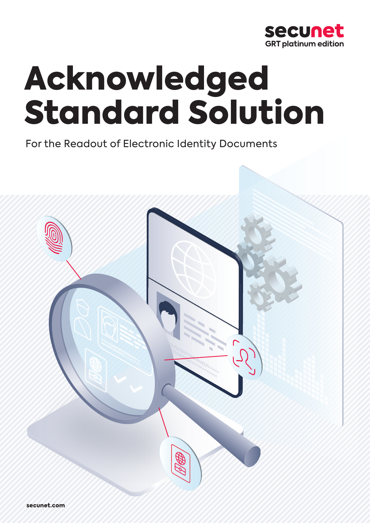

# Acknowledged Standard Solution

For the Readout of Electronic Identity Documents

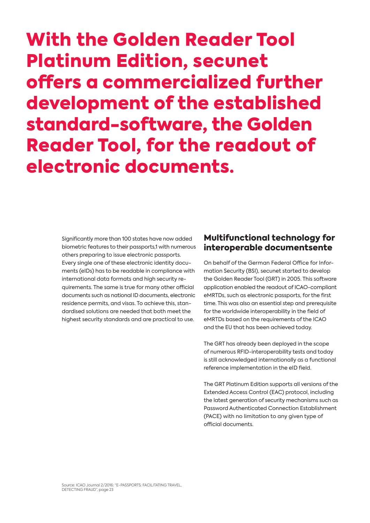## With the Golden Reader Tool Platinum Edition, secunet offers a commercialized further development of the established standard-software, the Golden Reader Tool, for the readout of electronic documents.

Significantly more than 100 states have now added biometric features to their passports,1 with numerous others preparing to issue electronic passports. Every single one of these electronic identity documents (eIDs) has to be readable in compliance with international data formats and high security requirements. The same is true for many other official documents such as national ID documents, electronic residence permits, and visas. To achieve this, standardised solutions are needed that both meet the highest security standards and are practical to use.

#### Multifunctional technology for interoperable documentsente

On behalf of the German Federal Office for Information Security (BSI), secunet started to develop the Golden Reader Tool (GRT) in 2005. This software application enabled the readout of ICAO-compliant eMRTDs, such as electronic passports, for the first time. This was also an essential step and prerequisite for the worldwide interoperability in the field of eMRTDs based on the requirements of the ICAO and the EU that has been achieved today.

The GRT has already been deployed in the scope of numerous RFID-interoperability tests and today is still acknowledged internationally as a functional reference implementation in the eID field.

The GRT Platinum Edition supports all versions of the Extended Access Control (EAC) protocol, including the latest generation of security mechanisms such as Password Authenticated Connection Establishment (PACE) with no limitation to any given type of official documents.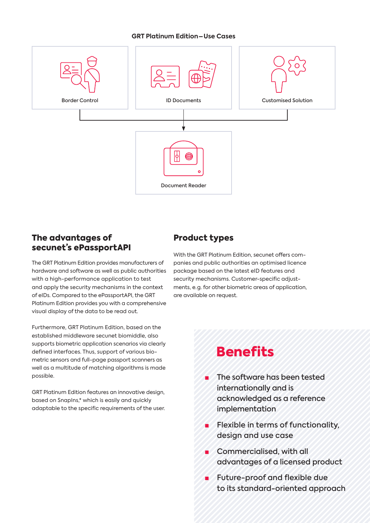#### **GRT Platinum Edition – Use Cases**



#### The advantages of secunet's ePassportAPI

The GRT Platinum Edition provides manufacturers of hardware and software as well as public authorities with a high-performance application to test and apply the security mechanisms in the context of eIDs. Compared to the ePassportAPI, the GRT Platinum Edition provides you with a comprehensive visual display of the data to be read out.

Furthermore, GRT Platinum Edition, based on the established middleware secunet biomiddle, also supports biometric application scenarios via clearly defined interfaces. Thus, support of various biometric sensors and full-page passport scanners as well as a multitude of matching algorithms is made possible.

GRT Platinum Edition features an innovative design, based on SnapIns,\* which is easily and quickly adaptable to the specific requirements of the user.

#### Product types

With the GRT Platinum Edition, secunet offers companies and public authorities an optimised licence package based on the latest eID features and security mechanisms. Customer-specific adjustments, e. g. for other biometric areas of application, are available on request.

### **Benefits**

- **■** The software has been tested internationally and is acknowledged as a reference implementation
- **■** Flexible in terms of functionality, design and use case
- **■** Commercialised, with all advantages of a licensed product
- **■** Future-proof and flexible due to its standard-oriented approach